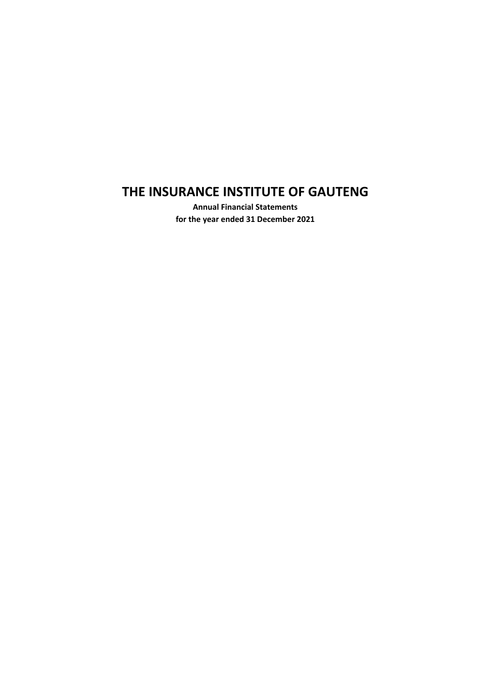**Annual Financial Statements for the year ended 31 December 2021**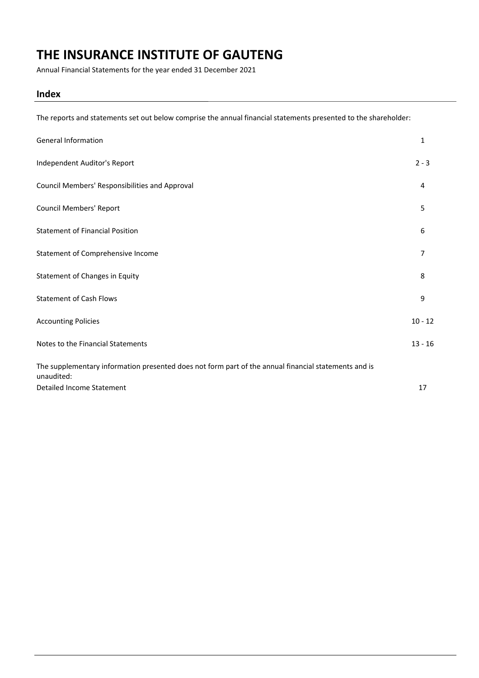Annual Financial Statements for the year ended 31 December 2021

### **Index**

The reports and statements set out below comprise the annual financial statements presented to the shareholder:

| <b>General Information</b>                                                                                         | 1         |
|--------------------------------------------------------------------------------------------------------------------|-----------|
| Independent Auditor's Report                                                                                       | $2 - 3$   |
| Council Members' Responsibilities and Approval                                                                     | 4         |
| Council Members' Report                                                                                            | 5         |
| <b>Statement of Financial Position</b>                                                                             | 6         |
| Statement of Comprehensive Income                                                                                  | 7         |
| Statement of Changes in Equity                                                                                     | 8         |
| <b>Statement of Cash Flows</b>                                                                                     | 9         |
| <b>Accounting Policies</b>                                                                                         | $10 - 12$ |
| Notes to the Financial Statements                                                                                  | $13 - 16$ |
| The supplementary information presented does not form part of the annual financial statements and is<br>unaudited: |           |
| Detailed Income Statement                                                                                          | 17        |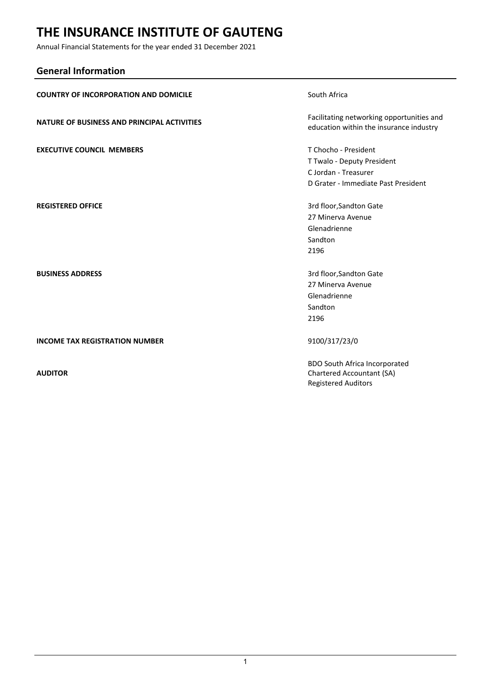Annual Financial Statements for the year ended 31 December 2021

### **General Information**

| <b>COUNTRY OF INCORPORATION AND DOMICILE</b> | South Africa                                                                                    |
|----------------------------------------------|-------------------------------------------------------------------------------------------------|
| NATURE OF BUSINESS AND PRINCIPAL ACTIVITIES  | Facilitating networking opportunities and<br>education within the insurance industry            |
| <b>EXECUTIVE COUNCIL MEMBERS</b>             | T Chocho - President                                                                            |
|                                              | T Twalo - Deputy President<br>C Jordan - Treasurer                                              |
|                                              | D Grater - Immediate Past President                                                             |
| <b>REGISTERED OFFICE</b>                     | 3rd floor, Sandton Gate                                                                         |
|                                              | 27 Minerva Avenue                                                                               |
|                                              | Glenadrienne                                                                                    |
|                                              | Sandton                                                                                         |
|                                              | 2196                                                                                            |
| <b>BUSINESS ADDRESS</b>                      | 3rd floor, Sandton Gate                                                                         |
|                                              | 27 Minerva Avenue                                                                               |
|                                              | Glenadrienne                                                                                    |
|                                              | Sandton                                                                                         |
|                                              | 2196                                                                                            |
| <b>INCOME TAX REGISTRATION NUMBER</b>        | 9100/317/23/0                                                                                   |
| <b>AUDITOR</b>                               | <b>BDO South Africa Incorporated</b><br>Chartered Accountant (SA)<br><b>Registered Auditors</b> |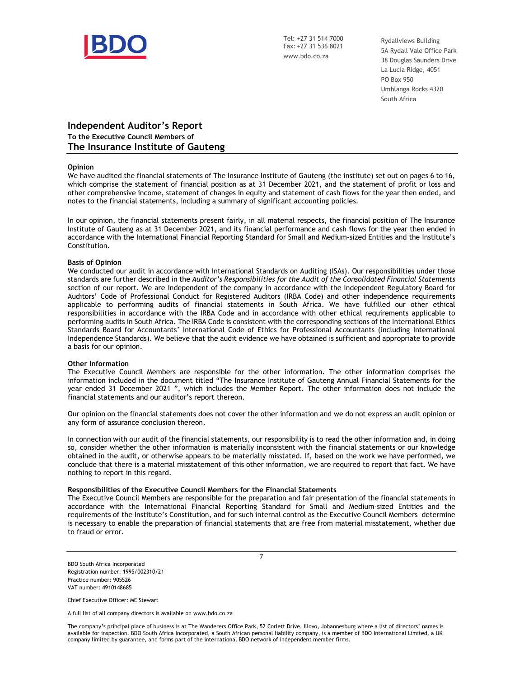

Tel: +27 31 514 7000 Fax: +27 31 536 8021 www.bdo.co.za

Rydallviews Building 5A Rydall Vale Office Park 38 Douglas Saunders Drive La Lucia Ridge, 4051 PO Box 950 Umhlanga Rocks 4320 South Africa

#### **Independent Auditor's Report To the Executive Council Members of The Insurance Institute of Gauteng**

#### **Opinion**

We have audited the financial statements of The Insurance Institute of Gauteng (the institute) set out on pages 6 to 16, which comprise the statement of financial position as at 31 December 2021, and the statement of profit or loss and other comprehensive income, statement of changes in equity and statement of cash flows for the year then ended, and notes to the financial statements, including a summary of significant accounting policies.

In our opinion, the financial statements present fairly, in all material respects, the financial position of The Insurance Institute of Gauteng as at 31 December 2021, and its financial performance and cash flows for the year then ended in accordance with the International Financial Reporting Standard for Small and Medium-sized Entities and the Institute's Constitution.

#### **Basis of Opinion**

We conducted our audit in accordance with International Standards on Auditing (ISAs). Our responsibilities under those standards are further described in the *Auditor's Responsibilities for the Audit of the Consolidated Financial Statements* section of our report. We are independent of the company in accordance with the Independent Regulatory Board for Auditors' Code of Professional Conduct for Registered Auditors (IRBA Code) and other independence requirements applicable to performing audits of financial statements in South Africa. We have fulfilled our other ethical responsibilities in accordance with the IRBA Code and in accordance with other ethical requirements applicable to performing audits in South Africa. The IRBA Code is consistent with the corresponding sections of the International Ethics Standards Board for Accountants' International Code of Ethics for Professional Accountants (including International Independence Standards). We believe that the audit evidence we have obtained is sufficient and appropriate to provide a basis for our opinion.

#### **Other Information**

The Executive Council Members are responsible for the other information. The other information comprises the information included in the document titled "The Insurance Institute of Gauteng Annual Financial Statements for the year ended 31 December 2021 ", which includes the Member Report. The other information does not include the financial statements and our auditor's report thereon.

Our opinion on the financial statements does not cover the other information and we do not express an audit opinion or any form of assurance conclusion thereon.

In connection with our audit of the financial statements, our responsibility is to read the other information and, in doing so, consider whether the other information is materially inconsistent with the financial statements or our knowledge obtained in the audit, or otherwise appears to be materially misstated. If, based on the work we have performed, we conclude that there is a material misstatement of this other information, we are required to report that fact. We have nothing to report in this regard.

#### **Responsibilities of the Executive Council Members for the Financial Statements**

The Executive Council Members are responsible for the preparation and fair presentation of the financial statements in accordance with the International Financial Reporting Standard for Small and Medium-sized Entities and the requirements of the Institute's Constitution, and for such internal control as the Executive Council Members determine is necessary to enable the preparation of financial statements that are free from material misstatement, whether due to fraud or error.

7

BDO South Africa Incorporated Registration number: 1995/002310/21 Practice number: 905526 VAT number: 4910148685

Chief Executive Officer: ME Stewart

A full list of all company directors is available on www.bdo.co.za

The company's principal place of business is at The Wanderers Office Park, 52 Corlett Drive, Illovo, Johannesburg where a list of directors' names is available for inspection. BDO South Africa Incorporated, a South African personal liability company, is a member of BDO International Limited, a UK company limited by guarantee, and forms part of the international BDO network of independent member firms.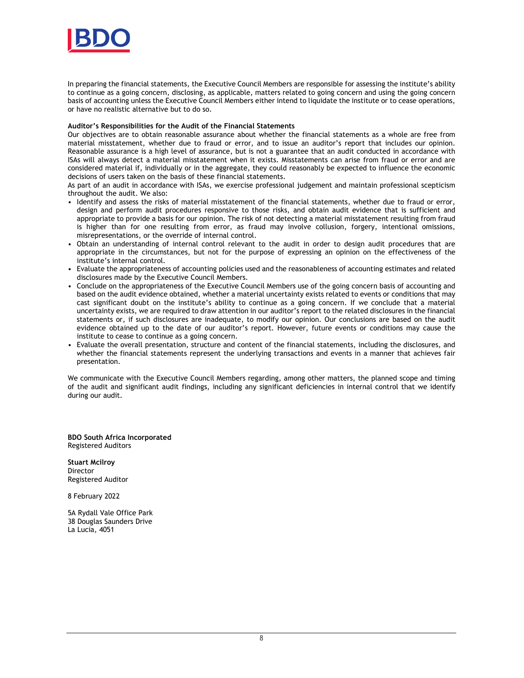

In preparing the financial statements, the Executive Council Members are responsible for assessing the institute's ability to continue as a going concern, disclosing, as applicable, matters related to going concern and using the going concern basis of accounting unless the Executive Council Members either intend to liquidate the institute or to cease operations, or have no realistic alternative but to do so.

#### **Auditor's Responsibilities for the Audit of the Financial Statements**

Our objectives are to obtain reasonable assurance about whether the financial statements as a whole are free from material misstatement, whether due to fraud or error, and to issue an auditor's report that includes our opinion. Reasonable assurance is a high level of assurance, but is not a guarantee that an audit conducted in accordance with ISAs will always detect a material misstatement when it exists. Misstatements can arise from fraud or error and are considered material if, individually or in the aggregate, they could reasonably be expected to influence the economic decisions of users taken on the basis of these financial statements.

As part of an audit in accordance with ISAs, we exercise professional judgement and maintain professional scepticism throughout the audit. We also:

- Identify and assess the risks of material misstatement of the financial statements, whether due to fraud or error, design and perform audit procedures responsive to those risks, and obtain audit evidence that is sufficient and appropriate to provide a basis for our opinion. The risk of not detecting a material misstatement resulting from fraud is higher than for one resulting from error, as fraud may involve collusion, forgery, intentional omissions, misrepresentations, or the override of internal control.
- Obtain an understanding of internal control relevant to the audit in order to design audit procedures that are appropriate in the circumstances, but not for the purpose of expressing an opinion on the effectiveness of the institute's internal control.
- Evaluate the appropriateness of accounting policies used and the reasonableness of accounting estimates and related disclosures made by the Executive Council Members.
- Conclude on the appropriateness of the Executive Council Members use of the going concern basis of accounting and based on the audit evidence obtained, whether a material uncertainty exists related to events or conditions that may cast significant doubt on the institute's ability to continue as a going concern. If we conclude that a material uncertainty exists, we are required to draw attention in our auditor's report to the related disclosures in the financial statements or, if such disclosures are inadequate, to modify our opinion. Our conclusions are based on the audit evidence obtained up to the date of our auditor's report. However, future events or conditions may cause the institute to cease to continue as a going concern.
- Evaluate the overall presentation, structure and content of the financial statements, including the disclosures, and whether the financial statements represent the underlying transactions and events in a manner that achieves fair presentation.

We communicate with the Executive Council Members regarding, among other matters, the planned scope and timing of the audit and significant audit findings, including any significant deficiencies in internal control that we identify during our audit.

**BDO South Africa Incorporated**  Registered Auditors

**Stuart Mcilroy**  Director Registered Auditor

8 February 2022

5A Rydall Vale Office Park 38 Douglas Saunders Drive La Lucia, 4051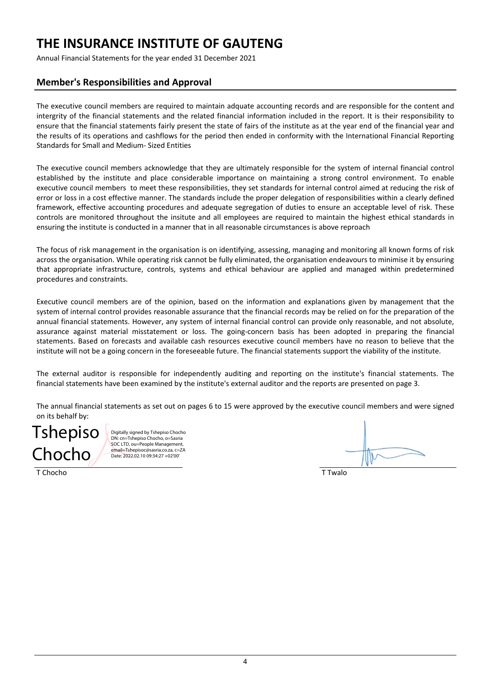Annual Financial Statements for the year ended 31 December 2021

### **Member's Responsibilities and Approval**

The executive council members are required to maintain adquate accounting records and are responsible for the content and intergrity of the financial statements and the related financial information included in the report. It is their responsibility to ensure that the financial statements fairly present the state of fairs of the institute as at the year end of the financial year and the results of its operations and cashflows for the period then ended in conformity with the International Financial Reporting Standards for Small and Medium- Sized Entities

The executive council members acknowledge that they are ultimately responsible for the system of internal financial control established by the institute and place considerable importance on maintaining a strong control environment. To enable executive council members to meet these responsibilities, they set standards for internal control aimed at reducing the risk of error or loss in a cost effective manner. The standards include the proper delegation of responsibilities within a clearly defined framework, effective accounting procedures and adequate segregation of duties to ensure an acceptable level of risk. These controls are monitored throughout the insitute and all employees are required to maintain the highest ethical standards in ensuring the institute is conducted in a manner that in all reasonable circumstances is above reproach

The focus of risk management in the organisation is on identifying, assessing, managing and monitoring all known forms of risk across the organisation. While operating risk cannot be fully eliminated, the organisation endeavours to minimise it by ensuring that appropriate infrastructure, controls, systems and ethical behaviour are applied and managed within predetermined procedures and constraints.

Executive council members are of the opinion, based on the information and explanations given by management that the system of internal control provides reasonable assurance that the financial records may be relied on for the preparation of the annual financial statements. However, any system of internal financial control can provide only reasonable, and not absolute, assurance against material misstatement or loss. The going-concern basis has been adopted in preparing the financial statements. Based on forecasts and available cash resources executive council members have no reason to believe that the institute will not be a going concern in the foreseeable future. The financial statements support the viability of the institute.

The external auditor is responsible for independently auditing and reporting on the institute's financial statements. The financial statements have been examined by the institute's external auditor and the reports are presented on page 3.

The annual financial statements as set out on pages 6 to 15 were approved by the executive council members and were signed on its behalf by:

**Tshepiso** Chocho

Digitally signed by Tshepiso Chocho DN: cn=Tshepiso Chocho, o=Sasria SOC LTD, ou=People Management email=Tshepisoc@sasria.co.za, c=ZA Date: 2022.02.10.09:34:27 +02'00'

T Chocho T Twalo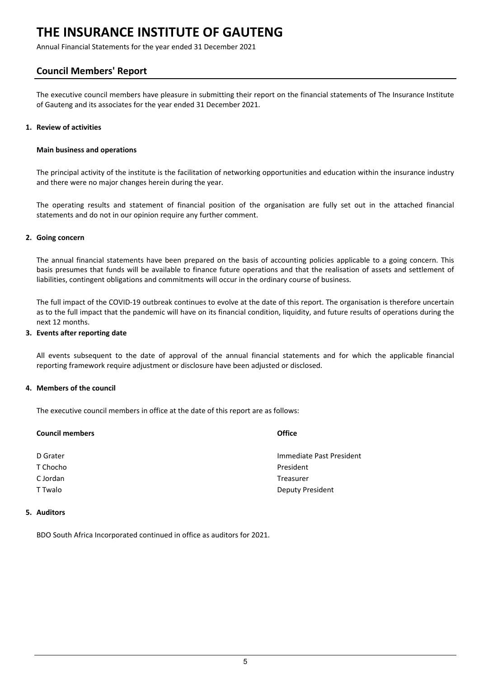Annual Financial Statements for the year ended 31 December 2021

### **Council Members' Report**

The executive council members have pleasure in submitting their report on the financial statements of The Insurance Institute of Gauteng and its associates for the year ended 31 December 2021.

#### **1. Review of activities**

#### **Main business and operations**

The principal activity of the institute is the facilitation of networking opportunities and education within the insurance industry and there were no major changes herein during the year.

The operating results and statement of financial position of the organisation are fully set out in the attached financial statements and do not in our opinion require any further comment.

#### **2. Going concern**

The annual financial statements have been prepared on the basis of accounting policies applicable to a going concern. This basis presumes that funds will be available to finance future operations and that the realisation of assets and settlement of liabilities, contingent obligations and commitments will occur in the ordinary course of business.

The full impact of the COVID-19 outbreak continues to evolve at the date of this report. The organisation is therefore uncertain as to the full impact that the pandemic will have on its financial condition, liquidity, and future results of operations during the next 12 months.

#### **3. Events after reporting date**

All events subsequent to the date of approval of the annual financial statements and for which the applicable financial reporting framework require adjustment or disclosure have been adjusted or disclosed.

#### **4. Members of the council**

The executive council members in office at the date of this report are as follows:

| Immediate Past President |
|--------------------------|
|                          |
|                          |
| Deputy President         |
|                          |

#### **5. Auditors**

BDO South Africa Incorporated continued in office as auditors for 2021.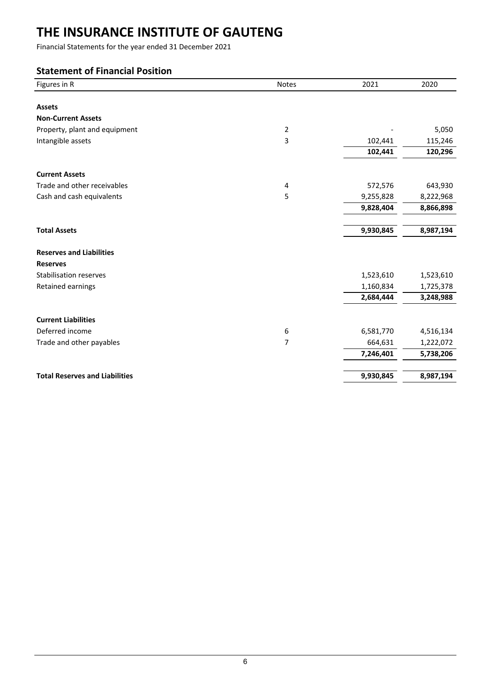Financial Statements for the year ended 31 December 2021

### **Statement of Financial Position**

| Figures in R                          | Notes | 2021      | 2020      |
|---------------------------------------|-------|-----------|-----------|
|                                       |       |           |           |
| <b>Assets</b>                         |       |           |           |
| <b>Non-Current Assets</b>             |       |           |           |
| Property, plant and equipment         | 2     |           | 5,050     |
| Intangible assets                     | 3     | 102,441   | 115,246   |
|                                       |       | 102,441   | 120,296   |
| <b>Current Assets</b>                 |       |           |           |
| Trade and other receivables           | 4     | 572,576   | 643,930   |
| Cash and cash equivalents             | 5     | 9,255,828 | 8,222,968 |
|                                       |       | 9,828,404 | 8,866,898 |
| <b>Total Assets</b>                   |       | 9,930,845 | 8,987,194 |
| <b>Reserves and Liabilities</b>       |       |           |           |
| <b>Reserves</b>                       |       |           |           |
| <b>Stabilisation reserves</b>         |       | 1,523,610 | 1,523,610 |
| Retained earnings                     |       | 1,160,834 | 1,725,378 |
|                                       |       | 2,684,444 | 3,248,988 |
| <b>Current Liabilities</b>            |       |           |           |
| Deferred income                       | 6     | 6,581,770 | 4,516,134 |
| Trade and other payables              | 7     | 664,631   | 1,222,072 |
|                                       |       | 7,246,401 | 5,738,206 |
| <b>Total Reserves and Liabilities</b> |       | 9,930,845 | 8,987,194 |
|                                       |       |           |           |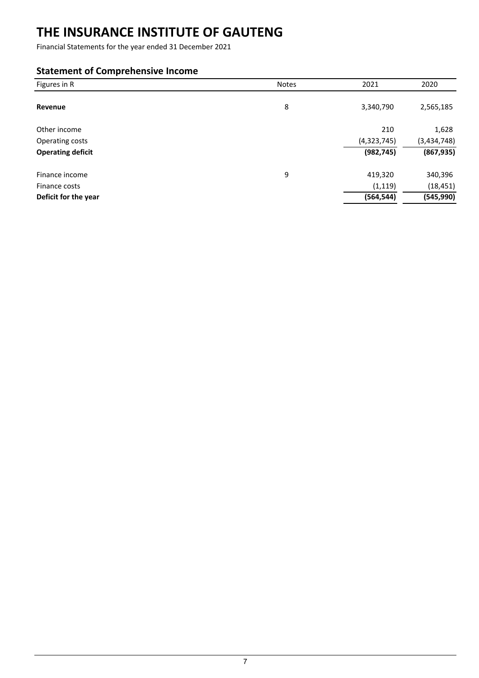Financial Statements for the year ended 31 December 2021

## **Statement of Comprehensive Income**

| Figures in R             | <b>Notes</b> | 2021        | 2020        |
|--------------------------|--------------|-------------|-------------|
|                          |              |             |             |
| Revenue                  | 8            | 3,340,790   | 2,565,185   |
| Other income             |              | 210         | 1,628       |
| Operating costs          |              | (4,323,745) | (3,434,748) |
| <b>Operating deficit</b> |              | (982, 745)  | (867, 935)  |
| Finance income           | 9            | 419,320     | 340,396     |
| Finance costs            |              | (1, 119)    | (18, 451)   |
| Deficit for the year     |              | (564, 544)  | (545, 990)  |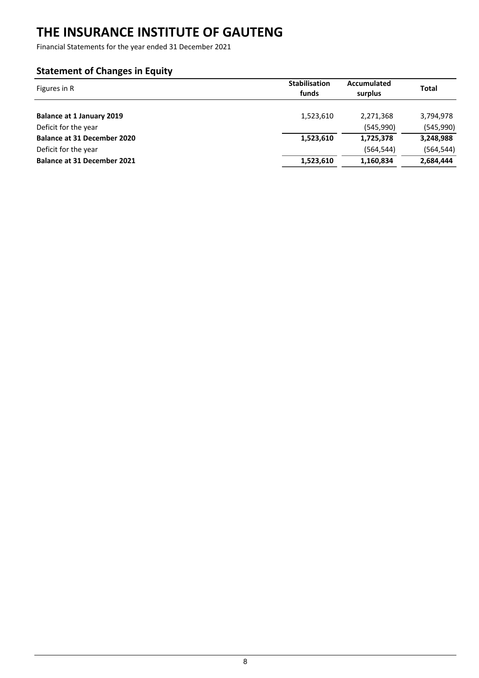Financial Statements for the year ended 31 December 2021

## **Statement of Changes in Equity**

| Figures in R                       | <b>Stabilisation</b><br>funds | <b>Accumulated</b><br>surplus | Total      |
|------------------------------------|-------------------------------|-------------------------------|------------|
| <b>Balance at 1 January 2019</b>   | 1,523,610                     | 2,271,368                     | 3,794,978  |
| Deficit for the year               |                               | (545,990)                     | (545,990)  |
| <b>Balance at 31 December 2020</b> | 1,523,610                     | 1,725,378                     | 3,248,988  |
| Deficit for the year               |                               | (564, 544)                    | (564, 544) |
| <b>Balance at 31 December 2021</b> | 1,523,610                     | 1,160,834                     | 2,684,444  |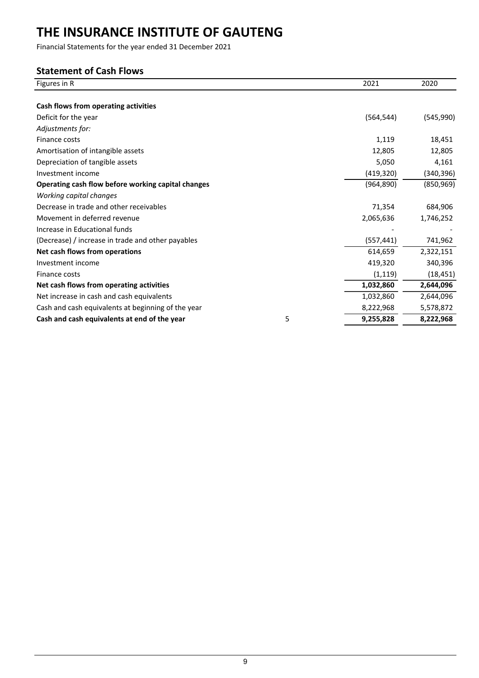Financial Statements for the year ended 31 December 2021

### **Statement of Cash Flows**

| Figures in R                                       |   | 2021       | 2020       |
|----------------------------------------------------|---|------------|------------|
|                                                    |   |            |            |
| Cash flows from operating activities               |   |            |            |
| Deficit for the year                               |   | (564, 544) | (545,990)  |
| Adjustments for:                                   |   |            |            |
| Finance costs                                      |   | 1,119      | 18,451     |
| Amortisation of intangible assets                  |   | 12,805     | 12,805     |
| Depreciation of tangible assets                    |   | 5,050      | 4,161      |
| Investment income                                  |   | (419, 320) | (340, 396) |
| Operating cash flow before working capital changes |   | (964, 890) | (850, 969) |
| Working capital changes                            |   |            |            |
| Decrease in trade and other receivables            |   | 71,354     | 684,906    |
| Movement in deferred revenue                       |   | 2,065,636  | 1,746,252  |
| Increase in Educational funds                      |   |            |            |
| (Decrease) / increase in trade and other payables  |   | (557, 441) | 741,962    |
| Net cash flows from operations                     |   | 614,659    | 2,322,151  |
| Investment income                                  |   | 419,320    | 340,396    |
| Finance costs                                      |   | (1, 119)   | (18, 451)  |
| Net cash flows from operating activities           |   | 1,032,860  | 2,644,096  |
| Net increase in cash and cash equivalents          |   | 1,032,860  | 2,644,096  |
| Cash and cash equivalents at beginning of the year |   | 8,222,968  | 5,578,872  |
| Cash and cash equivalents at end of the year       | 5 | 9,255,828  | 8,222,968  |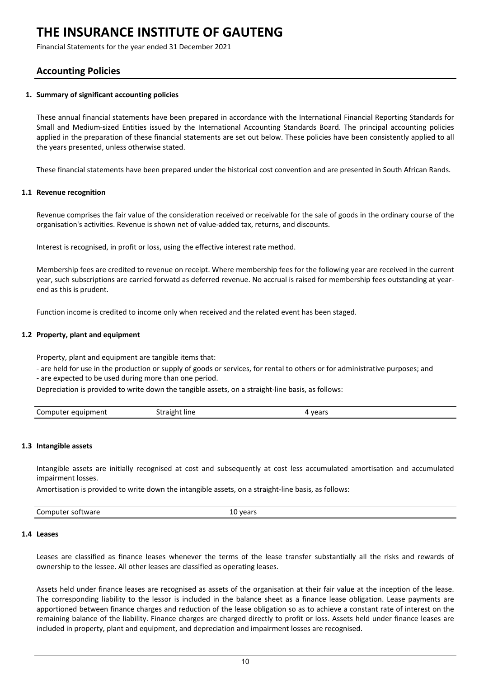Financial Statements for the year ended 31 December 2021

## **Accounting Policies**

#### **1. Summary of significant accounting policies**

These annual financial statements have been prepared in accordance with the International Financial Reporting Standards for Small and Medium-sized Entities issued by the International Accounting Standards Board. The principal accounting policies applied in the preparation of these financial statements are set out below. These policies have been consistently applied to all the years presented, unless otherwise stated.

These financial statements have been prepared under the historical cost convention and are presented in South African Rands.

#### **1.1 Revenue recognition**

Revenue comprises the fair value of the consideration received or receivable for the sale of goods in the ordinary course of the organisation's activities. Revenue is shown net of value-added tax, returns, and discounts.

Interest is recognised, in profit or loss, using the effective interest rate method.

Membership fees are credited to revenue on receipt. Where membership fees for the following year are received in the current year, such subscriptions are carried forwatd as deferred revenue. No accrual is raised for membership fees outstanding at yearend as this is prudent.

Function income is credited to income only when received and the related event has been staged.

#### **1.2 Property, plant and equipment**

Property, plant and equipment are tangible items that:

- are held for use in the production or supply of goods or services, for rental to others or for administrative purposes; and - are expected to be used during more than one period.

Depreciation is provided to write down the tangible assets, on a straight-line basis, as follows:

| $ -$<br>equipment<br><b>OMDUTE</b> | straigh <sup>.</sup><br>line | 1002r<br>cais |
|------------------------------------|------------------------------|---------------|
|                                    |                              |               |

#### **1.3 Intangible assets**

Intangible assets are initially recognised at cost and subsequently at cost less accumulated amortisation and accumulated impairment losses.

Amortisation is provided to write down the intangible assets, on a straight-line basis, as follows:

| $\mathbf{r}$ . The second contract of $\mathbf{r}$<br>software<br>.ompu | .<br>u<br>ਾਰਾਂ |
|-------------------------------------------------------------------------|----------------|
|                                                                         |                |

#### **1.4 Leases**

Leases are classified as finance leases whenever the terms of the lease transfer substantially all the risks and rewards of ownership to the lessee. All other leases are classified as operating leases.

Assets held under finance leases are recognised as assets of the organisation at their fair value at the inception of the lease. The corresponding liability to the lessor is included in the balance sheet as a finance lease obligation. Lease payments are apportioned between finance charges and reduction of the lease obligation so as to achieve a constant rate of interest on the remaining balance of the liability. Finance charges are charged directly to profit or loss. Assets held under finance leases are included in property, plant and equipment, and depreciation and impairment losses are recognised.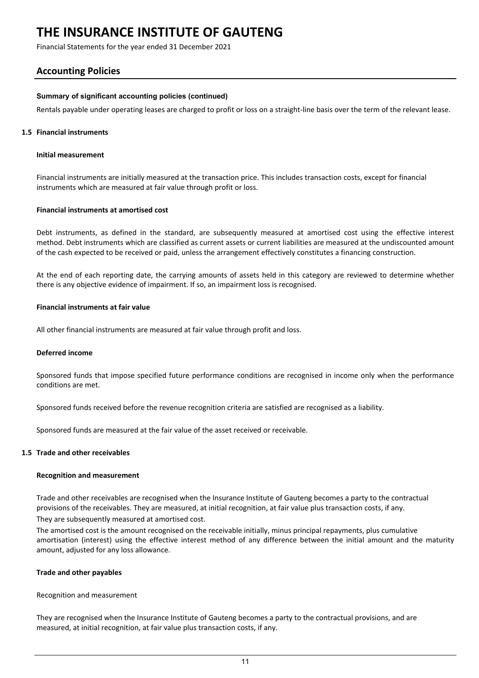Financial Statements for the year ended 31 December 2021

## **Accounting Policies**

#### **Summary of significant accounting policies (continued)**

Rentals payable under operating leases are charged to profit or loss on a straight-line basis over the term of the relevant lease.

#### **1.5 Financial instruments**

#### **Initial measurement**

Financial instruments are initially measured at the transaction price. This includes transaction costs, except for financial instruments which are measured at fair value through profit or loss.

#### **Financial instruments at amortised cost**

Debt instruments, as defined in the standard, are subsequently measured at amortised cost using the effective interest method. Debt instruments which are classified as current assets or current liabilities are measured at the undiscounted amount of the cash expected to be received or paid, unless the arrangement effectively constitutes a financing construction.

At the end of each reporting date, the carrying amounts of assets held in this category are reviewed to determine whether there is any objective evidence of impairment. If so, an impairment loss is recognised.

#### **Financial instruments at fair value**

All other financial instruments are measured at fair value through profit and loss.

#### **Deferred income**

Sponsored funds that impose specified future performance conditions are recognised in income only when the performance conditions are met.

Sponsored funds received before the revenue recognition criteria are satisfied are recognised as a liability.

Sponsored funds are measured at the fair value of the asset received or receivable.

#### **1.5 Trade and other receivables**

#### **Recognition and measurement**

Trade and other receivables are recognised when the Insurance Institute of Gauteng becomes a party to the contractual provisions of the receivables. They are measured, at initial recognition, at fair value plus transaction costs, if any. They are subsequently measured at amortised cost.

The amortised cost is the amount recognised on the receivable initially, minus principal repayments, plus cumulative amortisation (interest) using the effective interest method of any difference between the initial amount and the maturity amount, adjusted for any loss allowance.

#### **Trade and other payables**

#### Recognition and measurement

They are recognised when the Insurance Institute of Gauteng becomes a party to the contractual provisions, and are measured, at initial recognition, at fair value plus transaction costs, if any.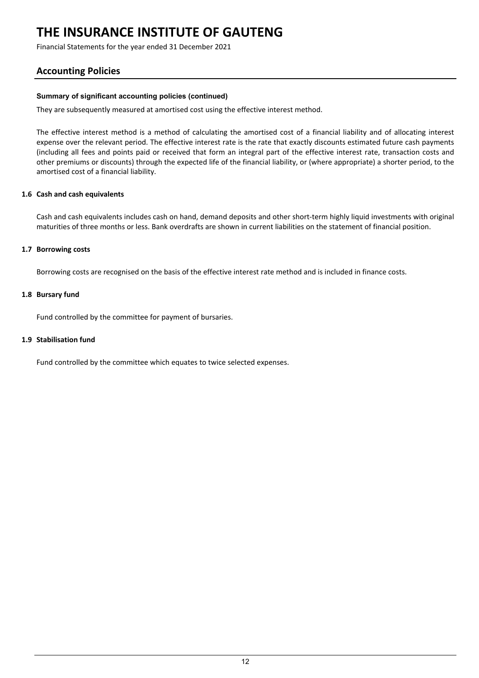Financial Statements for the year ended 31 December 2021

## **Accounting Policies**

### **Summary of significant accounting policies (continued)**

They are subsequently measured at amortised cost using the effective interest method.

The effective interest method is a method of calculating the amortised cost of a financial liability and of allocating interest expense over the relevant period. The effective interest rate is the rate that exactly discounts estimated future cash payments (including all fees and points paid or received that form an integral part of the effective interest rate, transaction costs and other premiums or discounts) through the expected life of the financial liability, or (where appropriate) a shorter period, to the amortised cost of a financial liability.

### **1.6 Cash and cash equivalents**

Cash and cash equivalents includes cash on hand, demand deposits and other short-term highly liquid investments with original maturities of three months or less. Bank overdrafts are shown in current liabilities on the statement of financial position.

### **1.7 Borrowing costs**

Borrowing costs are recognised on the basis of the effective interest rate method and is included in finance costs.

### **1.8 Bursary fund**

Fund controlled by the committee for payment of bursaries.

### **1.9 Stabilisation fund**

Fund controlled by the committee which equates to twice selected expenses.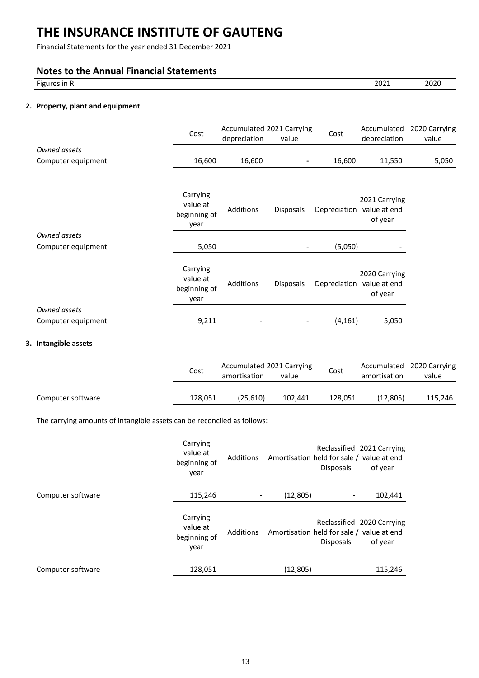Financial Statements for the year ended 31 December 2021

### **Notes to the Annual Financial Statements**

| Figures in R                     |                                              |                                           |                          |          | 2021                                                  | 2020                   |
|----------------------------------|----------------------------------------------|-------------------------------------------|--------------------------|----------|-------------------------------------------------------|------------------------|
| 2. Property, plant and equipment |                                              |                                           |                          |          |                                                       |                        |
|                                  | Cost                                         | Accumulated 2021 Carrying<br>depreciation | value                    | Cost     | Accumulated<br>depreciation                           | 2020 Carrying<br>value |
| Owned assets                     |                                              |                                           |                          |          |                                                       |                        |
| Computer equipment               | 16,600                                       | 16,600                                    |                          | 16,600   | 11,550                                                | 5,050                  |
|                                  | Carrying<br>value at<br>beginning of<br>year | Additions                                 | Disposals                |          | 2021 Carrying<br>Depreciation value at end<br>of year |                        |
| Owned assets                     |                                              |                                           |                          |          |                                                       |                        |
| Computer equipment               | 5,050                                        |                                           | $\overline{\phantom{a}}$ | (5,050)  |                                                       |                        |
|                                  | Carrying<br>value at<br>beginning of<br>year | Additions                                 | <b>Disposals</b>         |          | 2020 Carrying<br>Depreciation value at end<br>of year |                        |
| Owned assets                     |                                              |                                           |                          |          |                                                       |                        |
| Computer equipment               | 9,211                                        | $\overline{\phantom{a}}$                  | $\overline{\phantom{a}}$ | (4, 161) | 5,050                                                 |                        |

## **3. Intangible assets**

|                   | Cost    | Accumulated 2021 Carrying<br>amortisation<br>value |         | Cost    | amortisation | Accumulated 2020 Carrying<br>value |
|-------------------|---------|----------------------------------------------------|---------|---------|--------------|------------------------------------|
| Computer software | 128.051 | (25.610)                                           | 102.441 | 128.051 | (12,805)     | 115,246                            |

The carrying amounts of intangible assets can be reconciled as follows:

|                   | Carrying<br>value at<br>beginning of<br>year | Additions | Amortisation held for sale / value at end | <b>Disposals</b> | Reclassified 2021 Carrying<br>of year |
|-------------------|----------------------------------------------|-----------|-------------------------------------------|------------------|---------------------------------------|
| Computer software | 115,246                                      |           | (12,805)                                  |                  | 102,441                               |
|                   | Carrying<br>value at<br>beginning of<br>year | Additions | Amortisation held for sale / value at end | <b>Disposals</b> | Reclassified 2020 Carrying<br>of year |
| Computer software | 128,051                                      |           | (12, 805)                                 |                  | 115,246                               |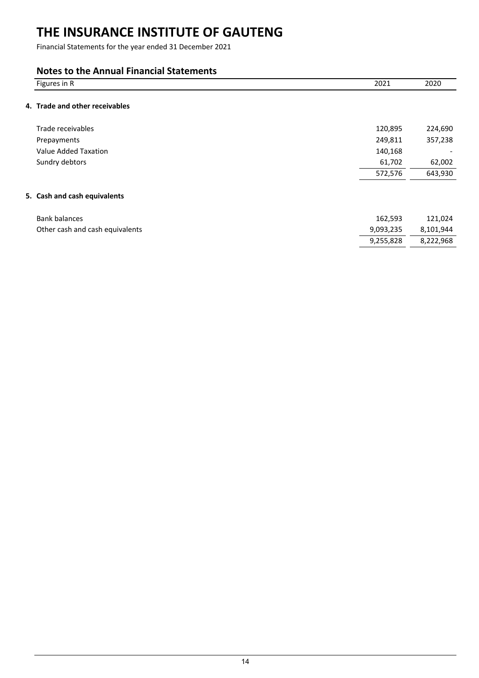Financial Statements for the year ended 31 December 2021

### **Notes to the Annual Financial Statements**

| Figures in R                    | 2021      | 2020      |
|---------------------------------|-----------|-----------|
| 4. Trade and other receivables  |           |           |
| Trade receivables               | 120,895   | 224,690   |
| Prepayments                     | 249,811   | 357,238   |
| Value Added Taxation            | 140,168   |           |
| Sundry debtors                  | 61,702    | 62,002    |
|                                 | 572,576   | 643,930   |
| 5. Cash and cash equivalents    |           |           |
| <b>Bank balances</b>            | 162,593   | 121,024   |
| Other cash and cash equivalents | 9,093,235 | 8,101,944 |
|                                 | 9,255,828 | 8,222,968 |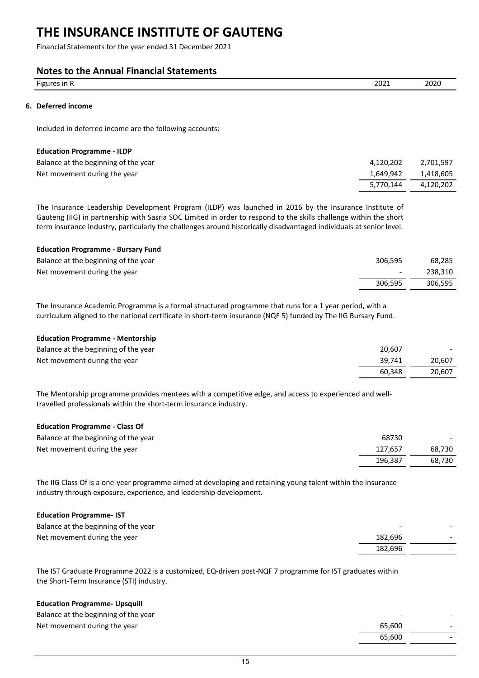Financial Statements for the year ended 31 December 2021

### **Notes to the Annual Financial Statements**

| $- \cdot$<br>Figu<br>n ni ؟≏" | 2021<br>_____ | 2020<br>---- |
|-------------------------------|---------------|--------------|
|                               |               |              |

#### **6. Deferred income**

Included in deferred income are the following accounts:

#### **Education Programme - ILDP**

| Balance at the beginning of the year | 4.120.202 | 2.701.597 |
|--------------------------------------|-----------|-----------|
| Net movement during the year         | 1.649.942 | 1.418.605 |
|                                      | 5.770.144 | 4.120.202 |

The Insurance Leadership Development Program (ILDP) was launched in 2016 by the Insurance Institute of Gauteng (IIG) in partnership with Sasria SOC Limited in order to respond to the skills challenge within the short term insurance industry, particularly the challenges around historically disadvantaged individuals at senior level.

| <b>Education Programme - Bursary Fund</b> |         |         |
|-------------------------------------------|---------|---------|
| Balance at the beginning of the year      | 306.595 | 68.285  |
| Net movement during the year              |         | 238.310 |
|                                           | 306.595 | 306.595 |
|                                           |         |         |

The Insurance Academic Programme is a formal structured programme that runs for a 1 year period, with a curriculum aligned to the national certificate in short-term insurance (NQF 5) funded by The IIG Bursary Fund.

#### **Education Programme - Mentorship**

| Balance at the beginning of the year | 20.607 | $\sim$ |
|--------------------------------------|--------|--------|
| Net movement during the year         | 39.741 | 20.607 |
|                                      | 60.348 | 20.607 |

The Mentorship programme provides mentees with a competitive edge, and access to experienced and welltravelled professionals within the short-term insurance industry.

#### **Education Programme - Class Of**

| Balance at the beginning of the year | 68730   |        |
|--------------------------------------|---------|--------|
| Net movement during the year         | 127.657 | 68.730 |
|                                      | 196.387 | 68.730 |

The IIG Class Of is a one-year programme aimed at developing and retaining young talent within the insurance industry through exposure, experience, and leadership development.

#### **Education Programme- IST**

| Balance at the beginning of the year |         |  |
|--------------------------------------|---------|--|
| Net movement during the year         | 182.696 |  |
|                                      | 182.696 |  |

The IST Graduate Programme 2022 is a customized, EQ-driven post-NQF 7 programme for IST graduates within the Short-Term Insurance (STI) industry.

#### **Education Programme- Upsquill**

| Balance at the beginning of the year | -      |                          |
|--------------------------------------|--------|--------------------------|
| Net movement during the year         | 65.600 | $\overline{\phantom{0}}$ |
|                                      | 65.600 |                          |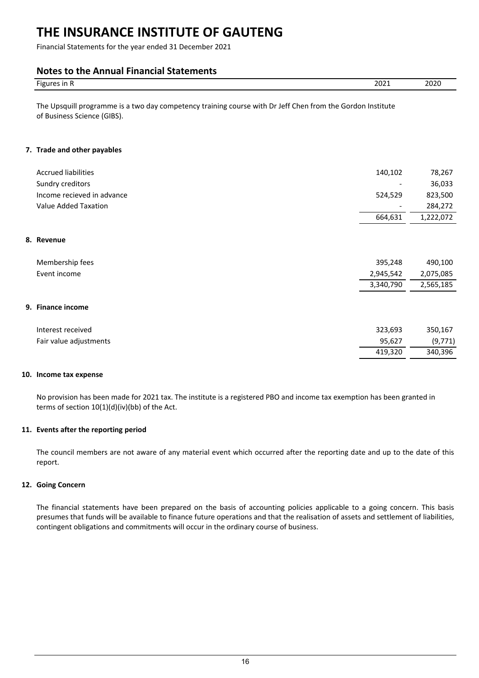Financial Statements for the year ended 31 December 2021

### **Notes to the Annual Financial Statements**

| $- \cdot$<br>rigures in<br>ገ In K | 2021 | 2020 |
|-----------------------------------|------|------|
|                                   |      |      |

The Upsquill programme is a two day competency training course with Dr Jeff Chen from the Gordon Institute of Business Science (GIBS).

#### **7. Trade and other payables**

| <b>Accrued liabilities</b> | 140,102   | 78,267    |
|----------------------------|-----------|-----------|
| Sundry creditors           |           | 36,033    |
| Income recieved in advance | 524,529   | 823,500   |
| Value Added Taxation       |           | 284,272   |
|                            | 664,631   | 1,222,072 |
|                            |           |           |
| 8. Revenue                 |           |           |
| Membership fees            | 395,248   | 490,100   |
| Event income               | 2,945,542 | 2,075,085 |
|                            | 3,340,790 | 2,565,185 |
|                            |           |           |
| 9. Finance income          |           |           |
| Interest received          | 323,693   | 350,167   |
| Fair value adjustments     | 95,627    | (9,771)   |
|                            | 419,320   | 340,396   |

#### **10. Income tax expense**

No provision has been made for 2021 tax. The institute is a registered PBO and income tax exemption has been granted in terms of section 10(1)(d)(iv)(bb) of the Act.

#### **11. Events after the reporting period**

The council members are not aware of any material event which occurred after the reporting date and up to the date of this report.

#### **12. Going Concern**

The financial statements have been prepared on the basis of accounting policies applicable to a going concern. This basis presumes that funds will be available to finance future operations and that the realisation of assets and settlement of liabilities, contingent obligations and commitments will occur in the ordinary course of business.